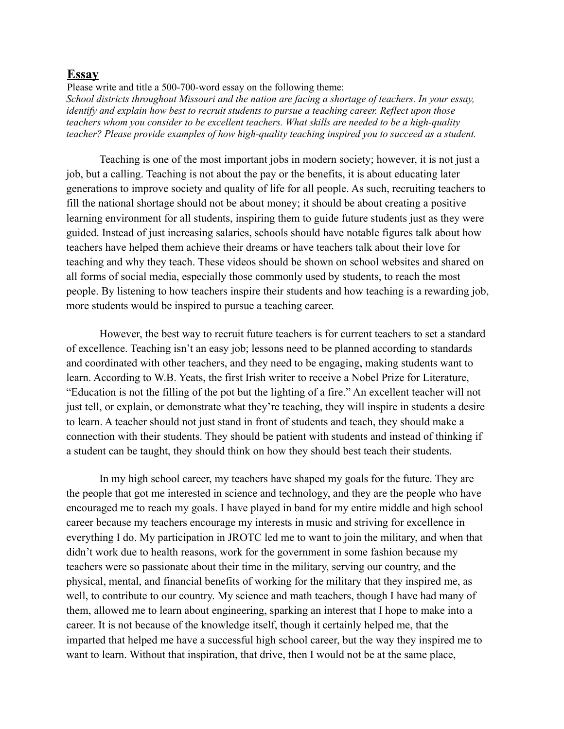## **Essay**

Please write and title a 500-700-word essay on the following theme: *School districts throughout Missouri and the nation are facing a shortage of teachers. In your essay, identify and explain how best to recruit students to pursue a teaching career. Reflect upon those teachers whom you consider to be excellent teachers. What skills are needed to be a high-quality teacher? Please provide examples of how high-quality teaching inspired you to succeed as a student.*

Teaching is one of the most important jobs in modern society; however, it is not just a job, but a calling. Teaching is not about the pay or the benefits, it is about educating later generations to improve society and quality of life for all people. As such, recruiting teachers to fill the national shortage should not be about money; it should be about creating a positive learning environment for all students, inspiring them to guide future students just as they were guided. Instead of just increasing salaries, schools should have notable figures talk about how teachers have helped them achieve their dreams or have teachers talk about their love for teaching and why they teach. These videos should be shown on school websites and shared on all forms of social media, especially those commonly used by students, to reach the most people. By listening to how teachers inspire their students and how teaching is a rewarding job, more students would be inspired to pursue a teaching career.

However, the best way to recruit future teachers is for current teachers to set a standard of excellence. Teaching isn't an easy job; lessons need to be planned according to standards and coordinated with other teachers, and they need to be engaging, making students want to learn. According to W.B. Yeats, the first Irish writer to receive a Nobel Prize for Literature, "Education is not the filling of the pot but the lighting of a fire." An excellent teacher will not just tell, or explain, or demonstrate what they're teaching, they will inspire in students a desire to learn. A teacher should not just stand in front of students and teach, they should make a connection with their students. They should be patient with students and instead of thinking if a student can be taught, they should think on how they should best teach their students.

In my high school career, my teachers have shaped my goals for the future. They are the people that got me interested in science and technology, and they are the people who have encouraged me to reach my goals. I have played in band for my entire middle and high school career because my teachers encourage my interests in music and striving for excellence in everything I do. My participation in JROTC led me to want to join the military, and when that didn't work due to health reasons, work for the government in some fashion because my teachers were so passionate about their time in the military, serving our country, and the physical, mental, and financial benefits of working for the military that they inspired me, as well, to contribute to our country. My science and math teachers, though I have had many of them, allowed me to learn about engineering, sparking an interest that I hope to make into a career. It is not because of the knowledge itself, though it certainly helped me, that the imparted that helped me have a successful high school career, but the way they inspired me to want to learn. Without that inspiration, that drive, then I would not be at the same place,